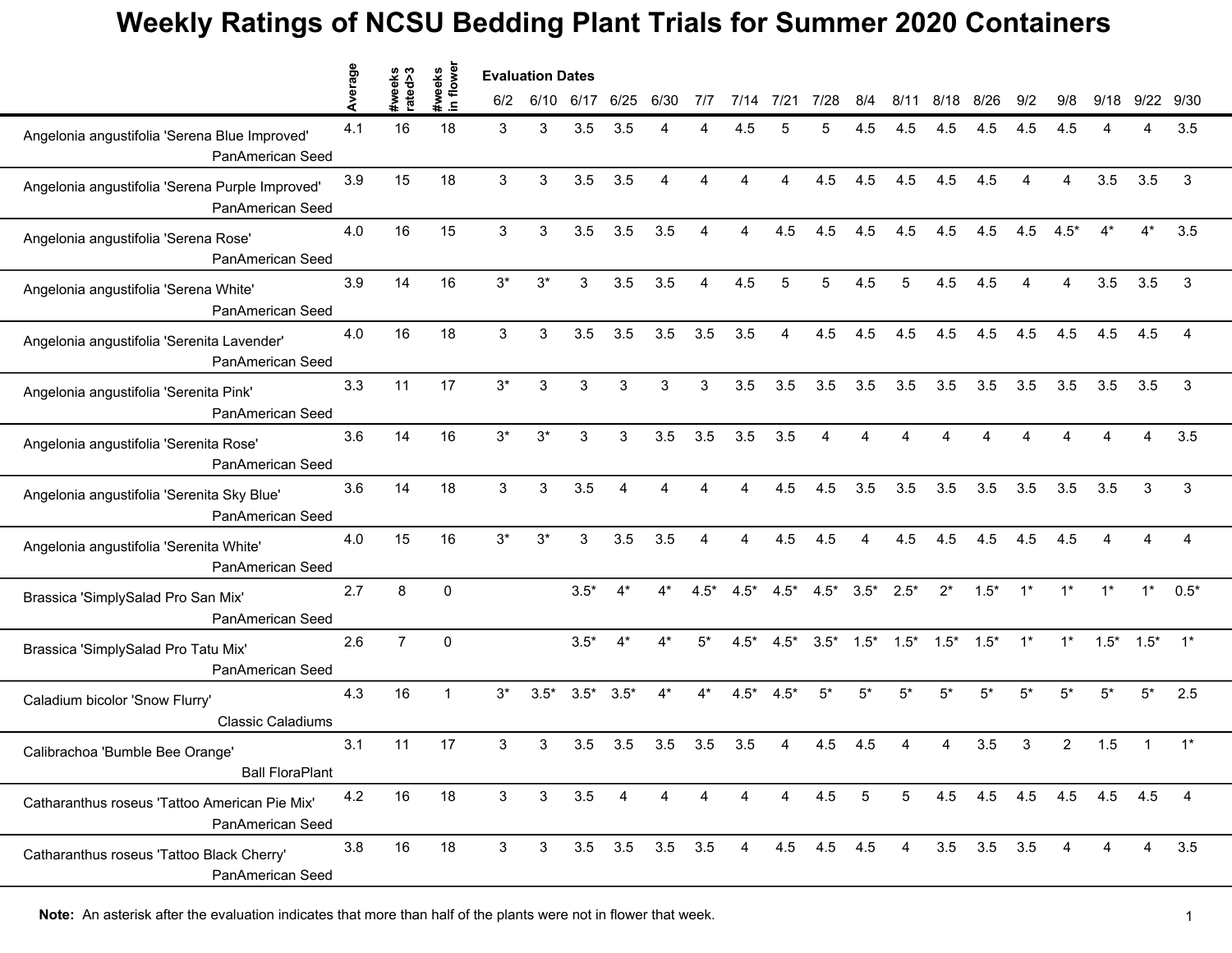|                                                                            |         |                   | flower             | <b>Evaluation Dates</b> |              |        |                |             |        |                |                        |             |                 |                 |                 |                   |       |        |                         |                |                |
|----------------------------------------------------------------------------|---------|-------------------|--------------------|-------------------------|--------------|--------|----------------|-------------|--------|----------------|------------------------|-------------|-----------------|-----------------|-----------------|-------------------|-------|--------|-------------------------|----------------|----------------|
|                                                                            | Average | #weeks<br>rated>3 | #weeks<br>in flowe | 6/2                     | 6/10         | 6/17   | 6/25           | 6/30        | 717    | 7/14           | 7/21                   | 7/28        | 8/4             |                 | 8/18            | 8/26              | 9/2   | 9/8    | 9/18                    | 9/22 9/30      |                |
| Angelonia angustifolia 'Serena Blue Improved'<br><b>PanAmerican Seed</b>   | 4.1     | 16                | 18                 | 3                       | 3            | 3.5    | 3.5            | Δ           |        | 4.5            | 5                      | 5           | 4.5             | 4.5             | 4.5             | 4.5               | 4.5   | 4.5    |                         | 4              | 3.5            |
| Angelonia angustifolia 'Serena Purple Improved'<br><b>PanAmerican Seed</b> | 3.9     | 15                | 18                 | 3                       | 3            | 3.5    | 3.5            | Δ           |        |                |                        | 4.5         | 4.5             | 4.5             | 4.5             | 4.5               |       | Δ      | 3.5                     | 3.5            | 3              |
| Angelonia angustifolia 'Serena Rose'<br>PanAmerican Seed                   | 4.0     | 16                | 15                 | 3                       | 3            | 3.5    | 3.5            | 3.5         | Δ      | Δ              | 4.5                    | 4.5         | 4.5             | 4.5             | 4.5             | 4.5               | 4.5   | $4.5*$ | $4*$                    | $4^*$          | 3.5            |
| Angelonia angustifolia 'Serena White'<br>PanAmerican Seed                  | 3.9     | 14                | 16                 | $3^*$                   | $3^{\star}$  | 3      | 3.5            | 3.5         | 4      | 4.5            | 5                      | 5           | 4.5             | 5               | 4.5             | 4.5               | 4     | 4      | 3.5                     | 3.5            | $\mathbf{3}$   |
| Angelonia angustifolia 'Serenita Lavender'<br>PanAmerican Seed             | 4.0     | 16                | 18                 | 3                       | 3            | 3.5    | 3.5            | 3.5         | 3.5    | 3.5            | $\boldsymbol{\Lambda}$ | 4.5         | 4.5             | 4.5             | 4.5             | 4.5               | 4.5   | 4.5    | 4.5                     | 4.5            |                |
| Angelonia angustifolia 'Serenita Pink'<br>PanAmerican Seed                 | 3.3     | 11                | 17                 | $3^*$                   | 3            | 3      | 3              | 3           | 3      | 3.5            | 3.5                    | 3.5         | 3.5             | 3.5             | 3.5             | 3.5               | 3.5   | 3.5    | 3.5                     | 3.5            | 3              |
| Angelonia angustifolia 'Serenita Rose'<br>PanAmerican Seed                 | 3.6     | 14                | 16                 | $3*$                    | $3^*$        | 3      | 3              | 3.5         | 3.5    | 3.5            | 3.5                    | Δ           |                 |                 |                 |                   |       |        |                         | 4              | 3.5            |
| Angelonia angustifolia 'Serenita Sky Blue'<br>PanAmerican Seed             | 3.6     | 14                | 18                 | $\mathbf{3}$            | $\mathbf{3}$ | 3.5    | 4              | 4           | 4      | 4              | 4.5                    | 4.5         | 3.5             | 3.5             | 3.5             | 3.5               | 3.5   | 3.5    | 3.5                     | 3              | $\mathbf{3}$   |
| Angelonia angustifolia 'Serenita White'<br>PanAmerican Seed                | 4.0     | 15                | 16                 | $3*$                    | $3^*$        | 3      | 3.5            | 3.5         | Δ      | 4              | 4.5                    | 4.5         | $\Delta$        | 4.5             | 4.5             | 4.5               | 4.5   | 4.5    | Δ                       | Δ              |                |
| Brassica 'SimplySalad Pro San Mix'<br>PanAmerican Seed                     | 2.7     | 8                 | $\mathbf 0$        |                         |              | $3.5*$ | $4^*$          | $4^*$       | $4.5*$ | $4.5*$         | $4.5*$                 | $4.5*$      | $3.5*$          | $2.5*$          | $2^*$           | $1.5*$            | $1^*$ | $1^*$  | $1^*$                   |                | $1* 0.5*$      |
| Brassica 'SimplySalad Pro Tatu Mix'<br>PanAmerican Seed                    | 2.6     | $\overline{7}$    | $\mathbf{0}$       |                         |              | $3.5*$ | $4^*$          | $4^*$       | $5*$   | $4.5*$         | $4.5*$                 | $3.5*$      | $1.5*$          | $1.5*$          | $1.5^*$ $1.5^*$ |                   | $1^*$ | $1^*$  | $1.5*$                  | $1.5^*$ 1*     |                |
| Caladium bicolor 'Snow Flurry'<br><b>Classic Caladiums</b>                 | 4.3     | 16                | $\mathbf{1}$       | $3^*$                   | $3.5*$       | $3.5*$ | $3.5*$         | $4^*$       | $4^*$  | $4.5*$         | $4.5*$                 | $5*$        | $5*$            | $5*$            | $5*$            | $5*$              | $5*$  | $5^*$  | $5^*$                   | $5^*$          | 2.5            |
| Calibrachoa 'Bumble Bee Orange'<br><b>Ball FloraPlant</b>                  | 3.1     | 11                | 17                 | 3                       | 3            | 3.5    | 3.5            | 3.5         | 3.5    | 3.5            | 4                      | 4.5         | 4.5             |                 | 4               | 3.5               | 3     | 2      | 1.5                     | $\overline{1}$ | $1^*$          |
| Catharanthus roseus 'Tattoo American Pie Mix'<br>PanAmerican Seed          | 4.2     | 16                | 18                 | $\mathbf{3}$            | $\mathbf{3}$ | 3.5    | $\overline{4}$ | 4           | 4      | 4              | $\overline{4}$         | 4.5         | $5\phantom{.0}$ | $5\overline{)}$ |                 |                   |       |        | 4.5 4.5 4.5 4.5 4.5 4.5 |                | $\overline{4}$ |
| Catharanthus roseus 'Tattoo Black Cherry'<br>PanAmerican Seed              | 3.8     | 16                | 18                 | 3                       | 3            |        | $3.5\quad 3.5$ | $3.5$ $3.5$ |        | $\overline{4}$ |                        | 4.5 4.5 4.5 |                 | $\overline{4}$  |                 | $3.5$ $3.5$ $3.5$ |       | 4      | 4                       | $\overline{4}$ | 3.5            |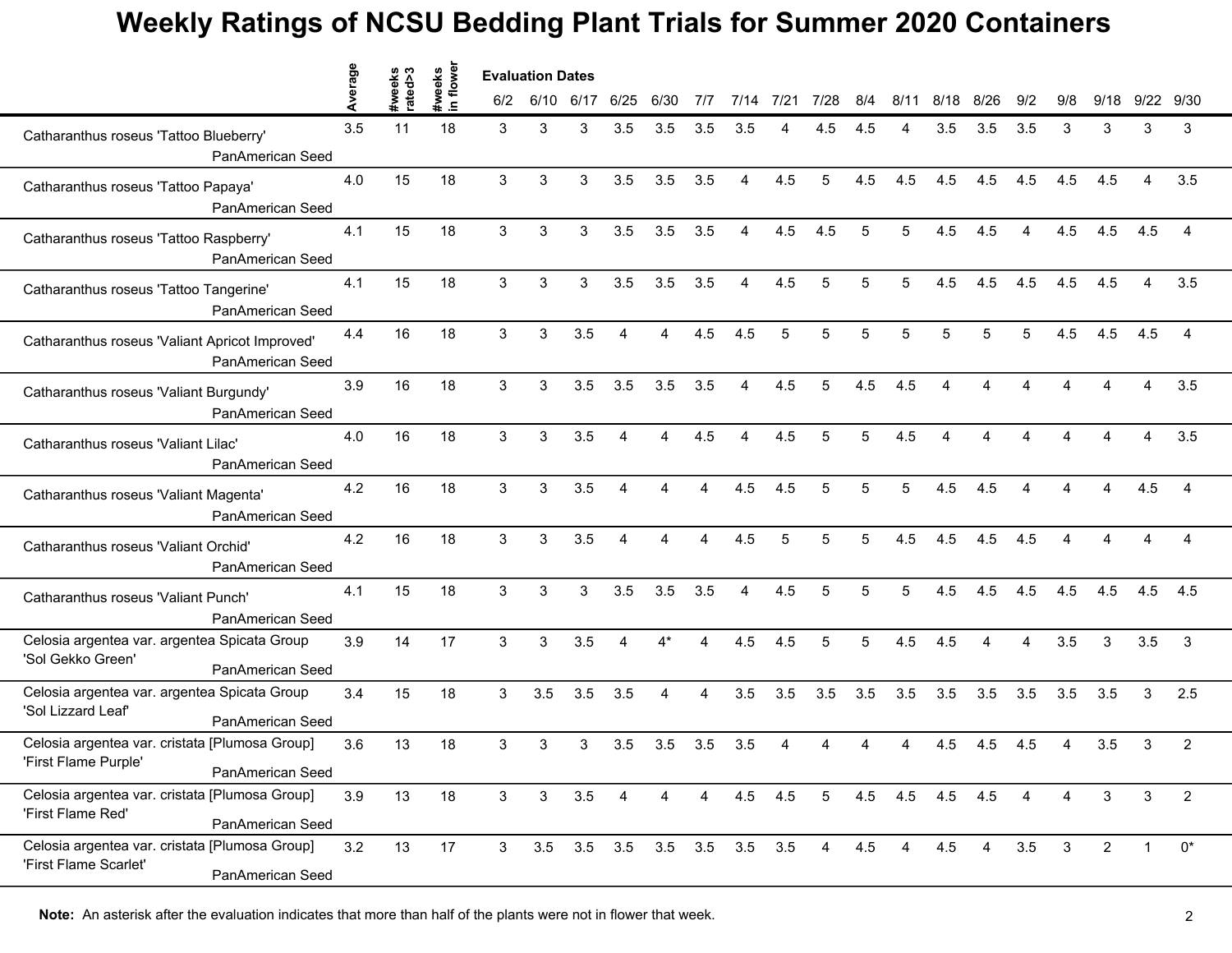|                                                                                             | erage |                   |                     |                | <b>Evaluation Dates</b> |      |                |       |     |                             |     |                |     |                |      |                |                        |              |                        |                |                |
|---------------------------------------------------------------------------------------------|-------|-------------------|---------------------|----------------|-------------------------|------|----------------|-------|-----|-----------------------------|-----|----------------|-----|----------------|------|----------------|------------------------|--------------|------------------------|----------------|----------------|
|                                                                                             |       | #weeks<br>rated>3 | in flower<br>#weeks | 6/2            | 6/10                    | 6/17 | 6/25           | 6/30  | 7/7 | 7/14 7/21                   |     | 7/28           | 8/4 | 8/11           | 8/18 | 8/26           | 9/2                    | 9/8          | 9/18                   | 9/22           | 9/30           |
| Catharanthus roseus 'Tattoo Blueberry'<br>PanAmerican Seed                                  | 3.5   | 11                | 18                  | 3              | 3                       | 3    | 3.5            | 3.5   | 3.5 | 3.5                         |     | 4.5            | 4.5 |                | 3.5  | 3.5            | 3.5                    | 3            | 3                      | 3              | 3              |
| Catharanthus roseus 'Tattoo Papaya'<br>PanAmerican Seed                                     | 4.0   | 15                | 18                  | 3              | 3                       | 3    | 3.5            | 3.5   | 3.5 | 4                           | 4.5 | 5              | 4.5 | 4.5            | 4.5  | 4.5            | 4.5                    | 4.5          | 4.5                    | $\overline{A}$ | 3.5            |
| Catharanthus roseus 'Tattoo Raspberry'<br>PanAmerican Seed                                  | 4.1   | 15                | 18                  | 3              | 3                       | 3    | 3.5            | 3.5   | 3.5 | 4                           | 4.5 | 4.5            | 5   | 5              | 4.5  | 4.5            | $\boldsymbol{\Lambda}$ | 4.5          | 4.5                    | 4.5            | 4              |
| Catharanthus roseus 'Tattoo Tangerine'<br>PanAmerican Seed                                  | 4.1   | 15                | 18                  | 3              | 3                       | 3    | 3.5            | 3.5   | 3.5 | 4                           | 4.5 | 5              | 5   | 5              | 4.5  | 4.5            | 4.5                    | 4.5          | 4.5                    |                | 3.5            |
| Catharanthus roseus 'Valiant Apricot Improved'<br>PanAmerican Seed                          | 4.4   | 16                | 18                  | 3              | 3                       | 3.5  | Δ              | 4     | 4.5 | 4.5                         | 5   | 5              |     | 5              |      | 5              | 5                      | 4.5          | 4.5                    | 4.5            | 4              |
| Catharanthus roseus 'Valiant Burgundy'<br>PanAmerican Seed                                  | 3.9   | 16                | 18                  | 3              | 3                       | 3.5  | 3.5            | 3.5   | 3.5 | $\overline{4}$              | 4.5 | 5              | 4.5 | 4.5            | 4    | Δ              | $\Delta$               | Δ            | $\boldsymbol{\Lambda}$ | Δ              | 3.5            |
| Catharanthus roseus 'Valiant Lilac'<br>PanAmerican Seed                                     | 4.0   | 16                | 18                  | 3              | 3                       | 3.5  | $\overline{4}$ | 4     | 4.5 | 4                           | 4.5 | 5              | 5   | 4.5            | 4    | Δ              |                        |              |                        | 4              | 3.5            |
| Catharanthus roseus 'Valiant Magenta'<br>PanAmerican Seed                                   | 4.2   | 16                | 18                  | 3              | 3                       | 3.5  | $\overline{4}$ | 4     | 4   | 4.5                         | 4.5 | 5              | 5   | 5              | 4.5  | 4.5            |                        |              |                        | 4.5            | $\overline{4}$ |
| Catharanthus roseus 'Valiant Orchid'<br>PanAmerican Seed                                    | 4.2   | 16                | 18                  | 3              | 3                       | 3.5  | 4              | Δ     |     | 4.5                         | 5   | 5              | 5   | 4.5            | 4.5  | 4.5            | 4.5                    |              |                        |                |                |
| Catharanthus roseus 'Valiant Punch'<br>PanAmerican Seed                                     | 4.1   | 15                | 18                  | 3              | 3                       | 3    | 3.5            | 3.5   | 3.5 | $\overline{4}$              | 4.5 | 5              | 5   | 5              | 4.5  | 4.5            | 4.5                    | 4.5          | 4.5                    | 4.5            | 4.5            |
| Celosia argentea var. argentea Spicata Group<br>'Sol Gekko Green'<br>PanAmerican Seed       | 3.9   | 14                | 17                  | 3              | 3                       | 3.5  | $\overline{4}$ | $4^*$ | 4   | 4.5                         | 4.5 | 5              | 5   | 4.5            | 4.5  | 4              | $\boldsymbol{\Lambda}$ | 3.5          | 3                      | 3.5            | 3              |
| Celosia argentea var. argentea Spicata Group<br>'Sol Lizzard Leaf'<br>PanAmerican Seed      | 3.4   | 15                | 18                  | 3              | 3.5                     | 3.5  | 3.5            | 4     | 4   | 3.5                         | 3.5 | 3.5            | 3.5 | 3.5            | 3.5  | 3.5            | 3.5                    | 3.5          | 3.5                    | 3              | 2.5            |
| Celosia argentea var. cristata [Plumosa Group]<br>'First Flame Purple'<br>PanAmerican Seed  | 3.6   | 13                | 18                  | 3              | 3                       | 3    | 3.5            | 3.5   | 3.5 | 3.5                         |     |                |     |                | 4.5  | 4.5            | 4.5                    |              | 3.5                    | 3              | 2              |
| Celosia argentea var. cristata [Plumosa Group]<br>'First Flame Red'<br>PanAmerican Seed     | 3.9   | 13                | 18                  | $\mathbf{3}$   | $\mathbf{3}$            | 3.5  | 4              | 4     | 4   | 4.5                         | 4.5 | 5 <sub>5</sub> |     | 4.5 4.5        | 4.5  | 4.5            | 4                      | 4            | 3                      | 3              | $\overline{2}$ |
| Celosia argentea var. cristata [Plumosa Group]<br>'First Flame Scarlet'<br>PanAmerican Seed | 3.2   | 13                | 17                  | 3 <sup>1</sup> |                         |      |                |       |     | 3.5 3.5 3.5 3.5 3.5 3.5 3.5 |     | $\overline{4}$ | 4.5 | $\overline{4}$ | 4.5  | $\overline{4}$ | 3.5                    | $\mathbf{3}$ | $\overline{2}$         | 1              | $0^*$          |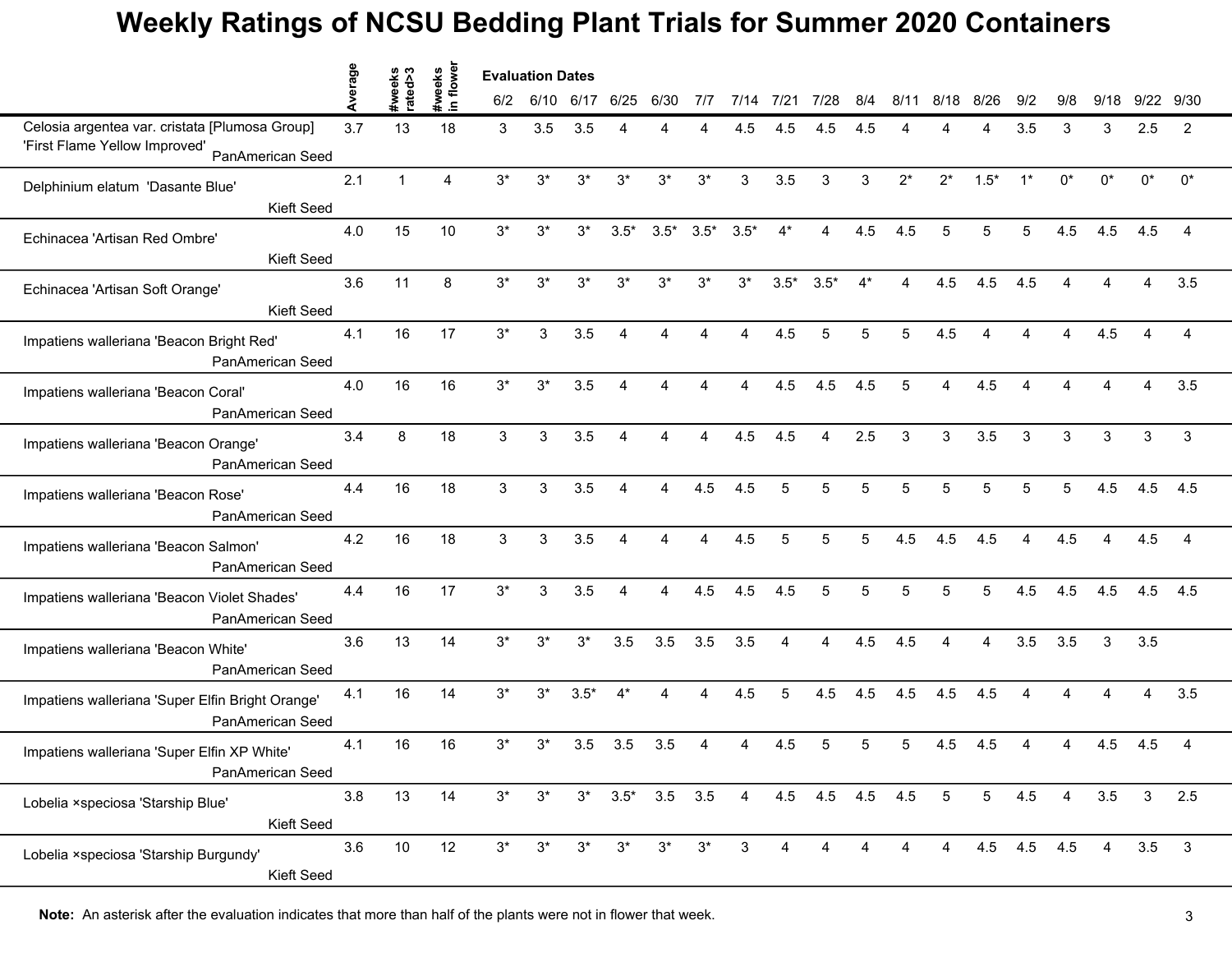|                                                                      | erage   |                   |                     | <b>Evaluation Dates</b> |       |        |                |                        |        |        |                |                 |      |                |                 |                |             |       |       |                                                                                                        |              |
|----------------------------------------------------------------------|---------|-------------------|---------------------|-------------------------|-------|--------|----------------|------------------------|--------|--------|----------------|-----------------|------|----------------|-----------------|----------------|-------------|-------|-------|--------------------------------------------------------------------------------------------------------|--------------|
|                                                                      |         | #weeks<br>rated>3 | #weeks<br>in flower | 6/2                     | 6/10  | 6/17   | 6/25           | 6/30                   | 7/7    | 7/14   | 7/21           | 7/28            | 8/4  | 8/11           | 8/18            | 8/26           | 9/2         | 9/8   | 9/18  | 9/22 9/30<br>2.5<br>$0^*$<br>4.5<br>Δ<br>3<br>4.5<br>4.5<br>4.5<br>3.5<br>4.5<br>3 <sup>1</sup><br>3.5 |              |
| Celosia argentea var. cristata [Plumosa Group]                       | 3.7     | 13                | 18                  | 3                       | 3.5   | 3.5    |                |                        |        | 4.5    | 4.5            | 4.5             | 4.5  |                |                 |                | 3.5         | 3     | 3     |                                                                                                        | 2            |
| 'First Flame Yellow Improved'<br>PanAmerican Seed                    |         |                   |                     |                         |       |        |                |                        |        |        |                |                 |      |                |                 |                |             |       |       |                                                                                                        |              |
| Delphinium elatum 'Dasante Blue'                                     | 2.1     | $\mathbf{1}$      | 4                   | $3*$                    | $3^*$ | $3^*$  | $3^*$          | $3^*$                  | $3^*$  | 3      | 3.5            | 3               | 3    | $2^*$          | $2^*$           | $1.5*$         | $1^*$       | $0^*$ | $0^*$ |                                                                                                        | $0^*$        |
| Kieft Seed                                                           |         |                   |                     |                         |       |        |                |                        |        |        |                |                 |      |                |                 |                |             |       |       |                                                                                                        |              |
| Echinacea 'Artisan Red Ombre'                                        | 4.0     | 15                | 10                  | $3^*$                   | 3*    | $3^*$  | $3.5*$         | $3.5*$                 | $3.5*$ | $3.5*$ | $4^*$          | 4               | 4.5  | 4.5            | 5               | 5              | 5           | 4.5   | 4.5   |                                                                                                        |              |
| <b>Kieft Seed</b>                                                    |         |                   |                     |                         |       |        |                |                        |        |        |                |                 |      |                |                 |                |             |       |       |                                                                                                        |              |
| Echinacea 'Artisan Soft Orange'                                      | 3.6     | 11                | 8                   | $3^*$                   | $3^*$ | $3^*$  | $3^*$          | $3^*$                  | $3^*$  | $3^*$  | $3.5*$         | $3.5*$          | $4*$ | 4              | 4.5             | 4.5            | 4.5         |       |       |                                                                                                        | 3.5          |
| Kieft Seed                                                           |         | 16                |                     |                         |       |        |                |                        |        |        |                |                 |      |                |                 |                |             |       |       |                                                                                                        |              |
| Impatiens walleriana 'Beacon Bright Red'<br>PanAmerican Seed         | 4.1     |                   | 17                  | $3^*$                   | 3     | 3.5    |                |                        |        |        | 4.5            | 5               |      |                | 4.5             |                |             |       | 4.5   |                                                                                                        |              |
| Impatiens walleriana 'Beacon Coral'<br>PanAmerican Seed              | 4.0     | 16                | 16                  | $3*$                    | $3^*$ | 3.5    | 4              | $\boldsymbol{\Lambda}$ | 4      | 4      | 4.5            | 4.5             | 4.5  | 5              | $\overline{4}$  | 4.5            | 4           |       |       |                                                                                                        | 3.5          |
| Impatiens walleriana 'Beacon Orange'<br>PanAmerican Seed             | 3.4     | 8                 | 18                  | 3                       | 3     | 3.5    | 4              | 4                      | 4      | 4.5    | 4.5            | 4               | 2.5  | 3              | 3               | 3.5            | 3           | 3     | 3     |                                                                                                        | 3            |
| Impatiens walleriana 'Beacon Rose'<br>PanAmerican Seed               | 4.4     | 16                | 18                  | 3                       | 3     | 3.5    | 4              | 4                      | 4.5    | 4.5    | 5              | 5               | 5    | 5              | 5               | 5              | 5           | 5     | 4.5   |                                                                                                        | 4.5          |
| Impatiens walleriana 'Beacon Salmon'<br>PanAmerican Seed             | 4.2     | 16                | 18                  | 3                       | 3     | 3.5    |                |                        |        | 4.5    |                | 5               |      | 4.5            | 4.5             | 4.5            |             | 4.5   |       |                                                                                                        |              |
| Impatiens walleriana 'Beacon Violet Shades'<br>PanAmerican Seed      | 4.4     | 16                | 17                  | $3*$                    | 3     | 3.5    | $\overline{4}$ | 4                      | 4.5    | 4.5    | 4.5            | 5               | 5    | 5              | 5               | 5              | 4.5         | 4.5   | 4.5   |                                                                                                        | 4.5          |
| Impatiens walleriana 'Beacon White'<br>PanAmerican Seed              | 3.6     | 13                | 14                  | $3^*$                   | $3^*$ | $3^*$  | 3.5            | 3.5                    | 3.5    | 3.5    | $\overline{4}$ | 4               | 4.5  | 4.5            | $\overline{4}$  | $\overline{4}$ | 3.5         | 3.5   | 3     |                                                                                                        |              |
| Impatiens walleriana 'Super Elfin Bright Orange'<br>PanAmerican Seed | 4.1     | 16                | 14                  | $3^*$                   | $3^*$ | $3.5*$ | $4^*$          | 4                      | Δ      | 4.5    | 5              | 4.5             | 4.5  | 4.5            | 4.5             | 4.5            |             |       |       |                                                                                                        | 3.5          |
| Impatiens walleriana 'Super Elfin XP White'<br>PanAmerican Seed      | 4.1     | 16                | 16                  | $3^*$                   | 3*    | 3.5    | 3.5            | 3.5                    |        |        | 4.5            | 5               |      |                | 4.5             | 4.5            |             |       | 4.5   |                                                                                                        |              |
| Lobelia ×speciosa 'Starship Blue'<br>Kieft Seed                      | $3.8\,$ | 13                | 14                  | $3^*$                   | $3^*$ |        | $3^*$ 3.5*     | $3.5\quad 3.5$         |        | 4      |                | 4.5 4.5 4.5 4.5 |      |                | $5\overline{)}$ | 5 <sub>5</sub> | 4.5         | 4     | 3.5   |                                                                                                        | 2.5          |
| Lobelia × speciosa 'Starship Burgundy'<br>Kieft Seed                 | 3.6     | 10                | 12                  | $3^*$                   | $3^*$ | $3^*$  | $3^*$          | $3^*$                  | $3^*$  | 3      | 4              | 4               |      | $\overline{4}$ | $\overline{4}$  |                | 4.5 4.5 4.5 |       | 4     |                                                                                                        | $\mathbf{3}$ |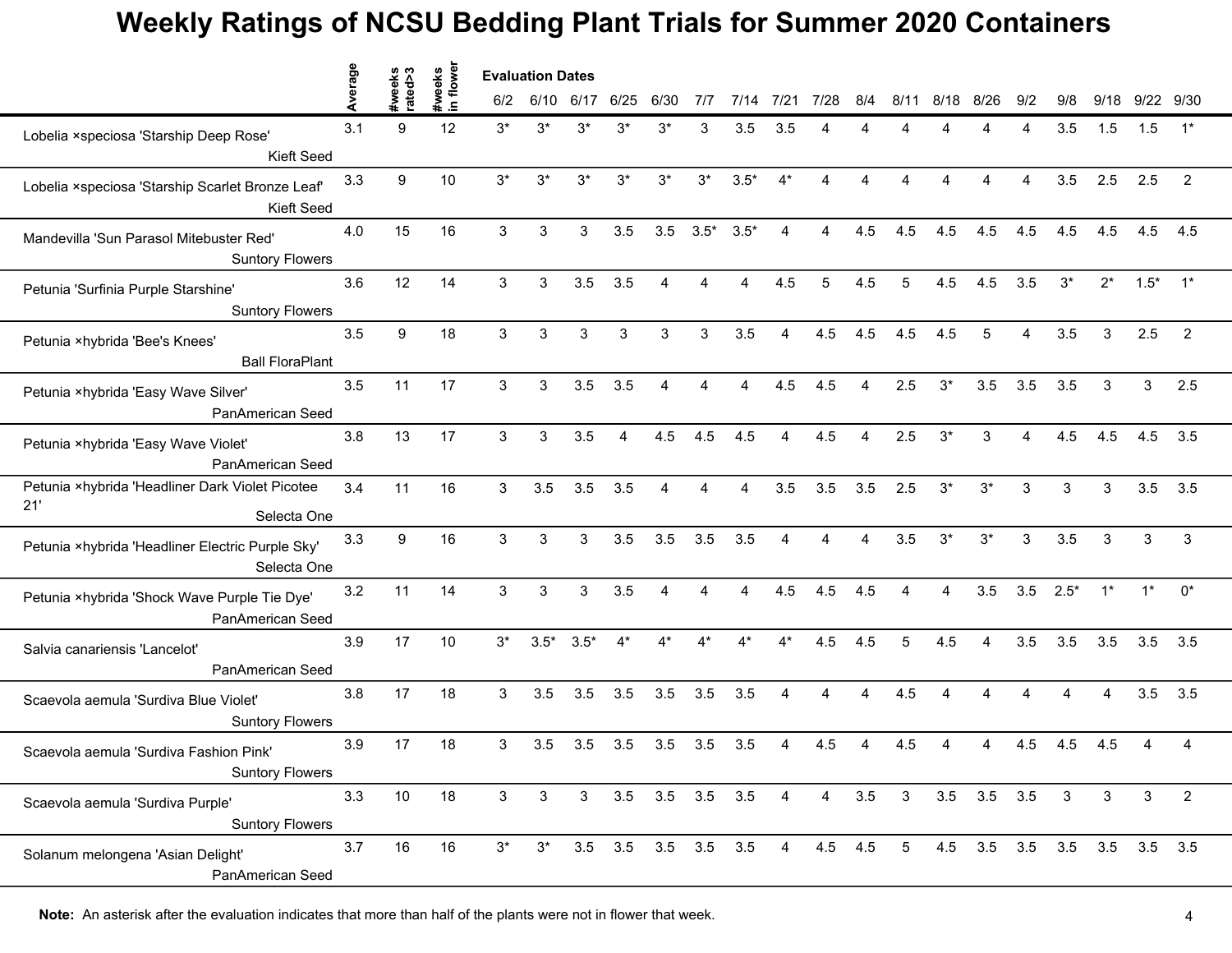|                                                                       | verage |                   |                     | <b>Evaluation Dates</b> |             |              |            |                     |        |                 |                        |         |                |                 |       |                   |     |              |              |                   |                |
|-----------------------------------------------------------------------|--------|-------------------|---------------------|-------------------------|-------------|--------------|------------|---------------------|--------|-----------------|------------------------|---------|----------------|-----------------|-------|-------------------|-----|--------------|--------------|-------------------|----------------|
|                                                                       |        | #weeks<br>rated>3 | #weeks<br>in flower | 6/2                     | 6/10        | 6/17         | 6/25       | 6/30                | 7/7    | 7/14            | $7/2^7$                | 7/28    | 8/4            | 8/11            | 8/18  | 8/26              | 9/2 | 9/8          | 9/18         |                   | 9/22 9/30      |
| Lobelia ×speciosa 'Starship Deep Rose'                                | 3.1    | 9                 | 12                  | $3^*$                   | 3*          | $3^*$        | $3^*$      | $3^*$               | 3      | 3.5             | 3.5                    |         |                |                 |       |                   |     | 3.5          | 1.5          | 1.5               | $1^*$          |
| Kieft Seed                                                            |        |                   |                     |                         |             |              |            |                     |        |                 |                        |         |                |                 |       |                   |     |              |              |                   |                |
| Lobelia ×speciosa 'Starship Scarlet Bronze Leaf'<br><b>Kieft Seed</b> | 3.3    | 9                 | 10                  | $3*$                    | $3^{\star}$ | $3^{\ast}$   | $3^{\ast}$ | $3^*$               | $3^*$  | $3.5*$          | $4^*$                  | Δ       |                |                 |       | $\Delta$          | 4   | 3.5          | 2.5          | 2.5               | $\overline{2}$ |
| Mandevilla 'Sun Parasol Mitebuster Red'<br><b>Suntory Flowers</b>     | 4.0    | 15                | 16                  | 3                       | 3           | 3            | 3.5        | 3.5                 | $3.5*$ | $3.5*$          | 4                      | 4       | 4.5            | 4.5             | 4.5   | 4.5               | 4.5 | 4.5          | 4.5          | 4.5               | 4.5            |
| Petunia 'Surfinia Purple Starshine'<br><b>Suntory Flowers</b>         | 3.6    | 12                | 14                  | 3                       | 3           | 3.5          | 3.5        | 4                   |        | Δ               | 4.5                    | 5       | 4.5            | 5               | 4.5   | 4.5               | 3.5 | $3^*$        | $2^*$        | $1.5*$            | $1^*$          |
| Petunia ×hybrida 'Bee's Knees'<br><b>Ball FloraPlant</b>              | 3.5    | 9                 | 18                  | 3                       | 3           | 3            | 3          | 3                   | 3      | 3.5             |                        | 4.5     | 4.5            | 4.5             | 4.5   |                   |     | 3.5          | 3            | 2.5               | 2              |
| Petunia ×hybrida 'Easy Wave Silver'<br>PanAmerican Seed               | 3.5    | 11                | 17                  | 3                       | 3           | 3.5          | 3.5        | $\overline{a}$      | 4      | 4               | 4.5                    | 4.5     | $\overline{4}$ | 2.5             | $3*$  | 3.5               | 3.5 | 3.5          | 3            | 3                 | 2.5            |
| Petunia ×hybrida 'Easy Wave Violet'<br>PanAmerican Seed               | 3.8    | 13                | 17                  | 3                       | 3           | 3.5          | 4          | 4.5                 | 4.5    | 4.5             | $\Delta$               | 4.5     | $\overline{a}$ | 2.5             | $3^*$ | 3                 | 4   | 4.5          | 4.5          | 4.5               | 3.5            |
| Petunia ×hybrida 'Headliner Dark Violet Picotee<br>21'<br>Selecta One | 3.4    | 11                | 16                  | 3                       | 3.5         | 3.5          | 3.5        | 4                   | Δ      | 4               | 3.5                    | 3.5     | 3.5            | 2.5             | $3^*$ | $3^*$             | 3   | 3            | 3            | 3.5               | 3.5            |
| Petunia ×hybrida 'Headliner Electric Purple Sky'<br>Selecta One       | 3.3    | $\boldsymbol{9}$  | 16                  | 3                       | 3           | 3            | 3.5        | 3.5                 | 3.5    | 3.5             |                        |         |                | 3.5             | $3*$  | $3^*$             | 3   | 3.5          | 3            | 3                 | 3              |
| Petunia ×hybrida 'Shock Wave Purple Tie Dye'<br>PanAmerican Seed      | 3.2    | 11                | 14                  | 3                       | 3           | 3            | 3.5        | 4                   | 4      | 4               | 4.5                    | 4.5     | 4.5            | 4               | 4     | 3.5               | 3.5 | $2.5*$       | $1^*$        | $1^*$             | $0^*$          |
| Salvia canariensis 'Lancelot'<br>PanAmerican Seed                     | 3.9    | 17                | 10                  | $3^*$                   | $3.5*$      | $3.5*$       | $4^*$      | $4^*$               |        |                 | $4^*$                  | 4.5     | 4.5            | 5               | 4.5   | 4                 | 3.5 | 3.5          | 3.5          | 3.5               | 3.5            |
| Scaevola aemula 'Surdiva Blue Violet'<br><b>Suntory Flowers</b>       | 3.8    | 17                | 18                  | 3                       | 3.5         | 3.5          | 3.5        | 3.5                 | 3.5    | 3.5             | $\boldsymbol{\Lambda}$ | 4       | 4              | 4.5             |       |                   |     |              |              | 3.5               | 3.5            |
| Scaevola aemula 'Surdiva Fashion Pink'<br><b>Suntory Flowers</b>      | 3.9    | 17                | 18                  | 3                       | 3.5         | 3.5          | 3.5        | 3.5                 | 3.5    | 3.5             |                        | 4.5     |                | 4.5             |       |                   | 4.5 | 4.5          | 4.5          |                   |                |
| Scaevola aemula 'Surdiva Purple'<br><b>Suntory Flowers</b>            | 3.3    | 10                | 18                  | $\mathbf{3}$            | 3           | $\mathbf{3}$ |            |                     |        | 3.5 3.5 3.5 3.5 | $\overline{4}$         | 4       | 3.5            | $\mathbf{3}$    |       | $3.5$ $3.5$ $3.5$ |     | $\mathbf{3}$ | $\mathbf{3}$ | 3                 | $\overline{2}$ |
| Solanum melongena 'Asian Delight'<br>PanAmerican Seed                 | 3.7    | 16                | 16                  | $3^*$                   | $3^*$       |              |            | 3.5 3.5 3.5 3.5 3.5 |        |                 | 4                      | 4.5 4.5 |                | $5\overline{)}$ |       | 4.5 3.5 3.5 3.5   |     |              |              | $3.5$ $3.5$ $3.5$ |                |